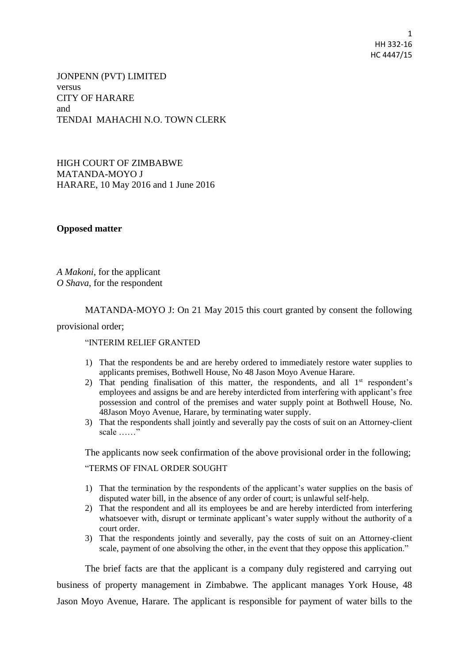1 HH 332-16 HC 4447/15

JONPENN (PVT) LIMITED versus CITY OF HARARE and TENDAI MAHACHI N.O. TOWN CLERK

HIGH COURT OF ZIMBABWE MATANDA-MOYO J HARARE, 10 May 2016 and 1 June 2016

## **Opposed matter**

*A Makoni*, for the applicant *O Shava*, for the respondent

MATANDA-MOYO J: On 21 May 2015 this court granted by consent the following

provisional order;

## "INTERIM RELIEF GRANTED

- 1) That the respondents be and are hereby ordered to immediately restore water supplies to applicants premises, Bothwell House, No 48 Jason Moyo Avenue Harare.
- 2) That pending finalisation of this matter, the respondents, and all  $1<sup>st</sup>$  respondent's employees and assigns be and are hereby interdicted from interfering with applicant's free possession and control of the premises and water supply point at Bothwell House, No. 48Jason Moyo Avenue, Harare, by terminating water supply.
- 3) That the respondents shall jointly and severally pay the costs of suit on an Attorney-client scale ……"

The applicants now seek confirmation of the above provisional order in the following;

## "TERMS OF FINAL ORDER SOUGHT

- 1) That the termination by the respondents of the applicant's water supplies on the basis of disputed water bill, in the absence of any order of court; is unlawful self-help.
- 2) That the respondent and all its employees be and are hereby interdicted from interfering whatsoever with, disrupt or terminate applicant's water supply without the authority of a court order.
- 3) That the respondents jointly and severally, pay the costs of suit on an Attorney-client scale, payment of one absolving the other, in the event that they oppose this application."

The brief facts are that the applicant is a company duly registered and carrying out business of property management in Zimbabwe. The applicant manages York House, 48 Jason Moyo Avenue, Harare. The applicant is responsible for payment of water bills to the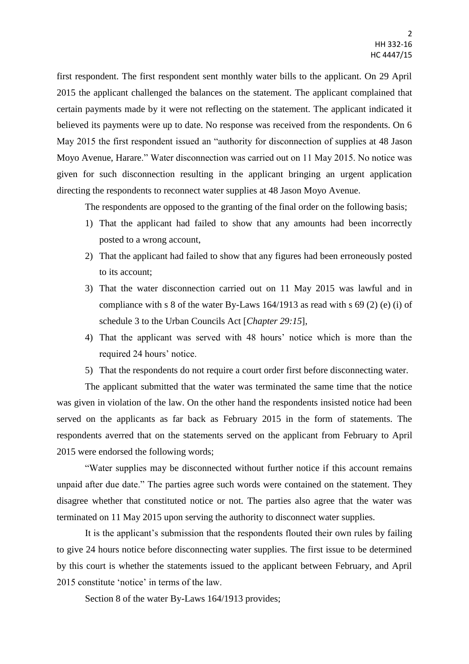first respondent. The first respondent sent monthly water bills to the applicant. On 29 April 2015 the applicant challenged the balances on the statement. The applicant complained that certain payments made by it were not reflecting on the statement. The applicant indicated it believed its payments were up to date. No response was received from the respondents. On 6 May 2015 the first respondent issued an "authority for disconnection of supplies at 48 Jason Moyo Avenue, Harare." Water disconnection was carried out on 11 May 2015. No notice was given for such disconnection resulting in the applicant bringing an urgent application directing the respondents to reconnect water supplies at 48 Jason Moyo Avenue.

The respondents are opposed to the granting of the final order on the following basis;

- 1) That the applicant had failed to show that any amounts had been incorrectly posted to a wrong account,
- 2) That the applicant had failed to show that any figures had been erroneously posted to its account;
- 3) That the water disconnection carried out on 11 May 2015 was lawful and in compliance with s 8 of the water By-Laws 164/1913 as read with s 69 (2) (e) (i) of schedule 3 to the Urban Councils Act [*Chapter 29:15*],
- 4) That the applicant was served with 48 hours' notice which is more than the required 24 hours' notice.
- 5) That the respondents do not require a court order first before disconnecting water.

The applicant submitted that the water was terminated the same time that the notice was given in violation of the law. On the other hand the respondents insisted notice had been served on the applicants as far back as February 2015 in the form of statements. The respondents averred that on the statements served on the applicant from February to April 2015 were endorsed the following words;

"Water supplies may be disconnected without further notice if this account remains unpaid after due date." The parties agree such words were contained on the statement. They disagree whether that constituted notice or not. The parties also agree that the water was terminated on 11 May 2015 upon serving the authority to disconnect water supplies.

It is the applicant's submission that the respondents flouted their own rules by failing to give 24 hours notice before disconnecting water supplies. The first issue to be determined by this court is whether the statements issued to the applicant between February, and April 2015 constitute 'notice' in terms of the law.

Section 8 of the water By-Laws 164/1913 provides;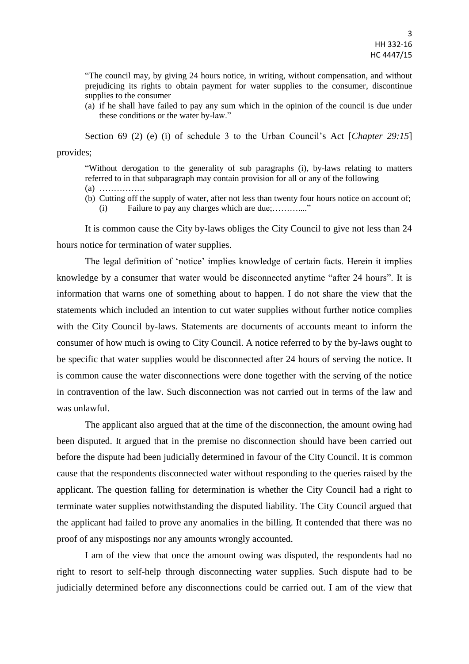"The council may, by giving 24 hours notice, in writing, without compensation, and without prejudicing its rights to obtain payment for water supplies to the consumer, discontinue supplies to the consumer

(a) if he shall have failed to pay any sum which in the opinion of the council is due under these conditions or the water by-law."

Section 69 (2) (e) (i) of schedule 3 to the Urban Council's Act [*Chapter 29:15*] provides;

"Without derogation to the generality of sub paragraphs (i), by-laws relating to matters referred to in that subparagraph may contain provision for all or any of the following

- (a) …………….
- (b) Cutting off the supply of water, after not less than twenty four hours notice on account of; (i) Failure to pay any charges which are due;………...."

It is common cause the City by-laws obliges the City Council to give not less than 24 hours notice for termination of water supplies.

The legal definition of 'notice' implies knowledge of certain facts. Herein it implies knowledge by a consumer that water would be disconnected anytime "after 24 hours". It is information that warns one of something about to happen. I do not share the view that the statements which included an intention to cut water supplies without further notice complies with the City Council by-laws. Statements are documents of accounts meant to inform the consumer of how much is owing to City Council. A notice referred to by the by-laws ought to be specific that water supplies would be disconnected after 24 hours of serving the notice. It is common cause the water disconnections were done together with the serving of the notice in contravention of the law. Such disconnection was not carried out in terms of the law and was unlawful.

The applicant also argued that at the time of the disconnection, the amount owing had been disputed. It argued that in the premise no disconnection should have been carried out before the dispute had been judicially determined in favour of the City Council. It is common cause that the respondents disconnected water without responding to the queries raised by the applicant. The question falling for determination is whether the City Council had a right to terminate water supplies notwithstanding the disputed liability. The City Council argued that the applicant had failed to prove any anomalies in the billing. It contended that there was no proof of any mispostings nor any amounts wrongly accounted.

I am of the view that once the amount owing was disputed, the respondents had no right to resort to self-help through disconnecting water supplies. Such dispute had to be judicially determined before any disconnections could be carried out. I am of the view that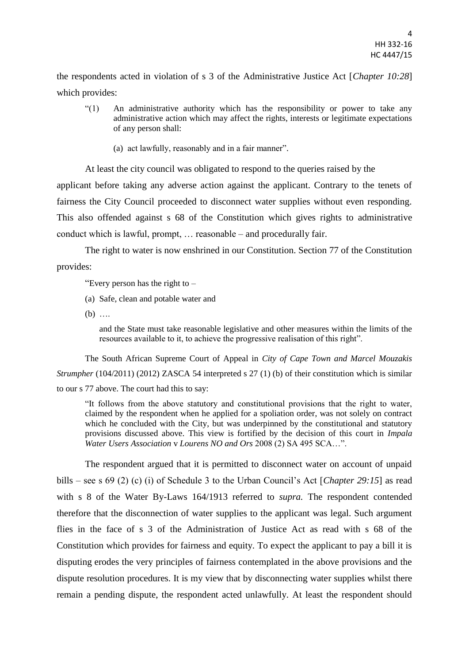the respondents acted in violation of s 3 of the Administrative Justice Act [*Chapter 10:28*] which provides:

- "(1) An administrative authority which has the responsibility or power to take any administrative action which may affect the rights, interests or legitimate expectations of any person shall:
	- (a) act lawfully, reasonably and in a fair manner".

At least the city council was obligated to respond to the queries raised by the applicant before taking any adverse action against the applicant. Contrary to the tenets of fairness the City Council proceeded to disconnect water supplies without even responding. This also offended against s 68 of the Constitution which gives rights to administrative conduct which is lawful, prompt, … reasonable – and procedurally fair.

The right to water is now enshrined in our Constitution. Section 77 of the Constitution provides:

"Every person has the right to  $-$ 

- (a) Safe, clean and potable water and
- (b) ….

and the State must take reasonable legislative and other measures within the limits of the resources available to it, to achieve the progressive realisation of this right".

The South African Supreme Court of Appeal in *City of Cape Town and Marcel Mouzakis Strumpher* (104/2011) (2012) ZASCA 54 interpreted s 27 (1) (b) of their constitution which is similar to our s 77 above. The court had this to say:

"It follows from the above statutory and constitutional provisions that the right to water, claimed by the respondent when he applied for a spoliation order, was not solely on contract which he concluded with the City, but was underpinned by the constitutional and statutory provisions discussed above. This view is fortified by the decision of this court in *Impala Water Users Association* v *Lourens NO and Ors* 2008 (2) SA 495 SCA…".

The respondent argued that it is permitted to disconnect water on account of unpaid bills – see s 69 (2) (c) (i) of Schedule 3 to the Urban Council's Act [*Chapter 29:15*] as read with s 8 of the Water By-Laws 164/1913 referred to *supra.* The respondent contended therefore that the disconnection of water supplies to the applicant was legal. Such argument flies in the face of s 3 of the Administration of Justice Act as read with s 68 of the Constitution which provides for fairness and equity. To expect the applicant to pay a bill it is disputing erodes the very principles of fairness contemplated in the above provisions and the dispute resolution procedures. It is my view that by disconnecting water supplies whilst there remain a pending dispute, the respondent acted unlawfully. At least the respondent should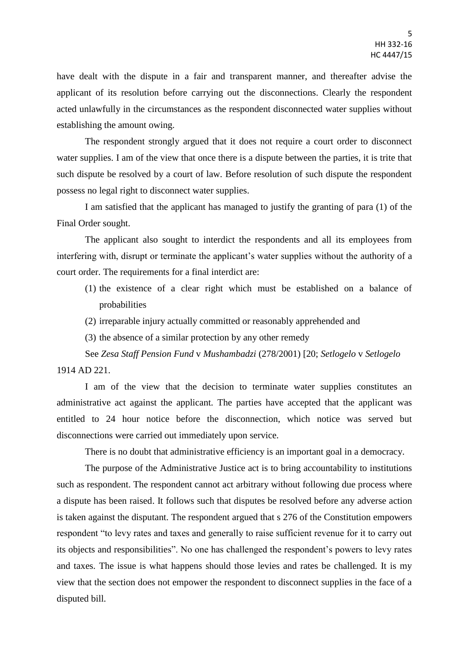have dealt with the dispute in a fair and transparent manner, and thereafter advise the applicant of its resolution before carrying out the disconnections. Clearly the respondent acted unlawfully in the circumstances as the respondent disconnected water supplies without establishing the amount owing.

The respondent strongly argued that it does not require a court order to disconnect water supplies. I am of the view that once there is a dispute between the parties, it is trite that such dispute be resolved by a court of law. Before resolution of such dispute the respondent possess no legal right to disconnect water supplies.

I am satisfied that the applicant has managed to justify the granting of para (1) of the Final Order sought.

The applicant also sought to interdict the respondents and all its employees from interfering with, disrupt or terminate the applicant's water supplies without the authority of a court order. The requirements for a final interdict are:

- (1) the existence of a clear right which must be established on a balance of probabilities
- (2) irreparable injury actually committed or reasonably apprehended and
- (3) the absence of a similar protection by any other remedy

See *Zesa Staff Pension Fund* v *Mushambadzi* (278/2001) [20; *Setlogelo* v *Setlogelo*  1914 AD 221.

I am of the view that the decision to terminate water supplies constitutes an administrative act against the applicant. The parties have accepted that the applicant was entitled to 24 hour notice before the disconnection, which notice was served but disconnections were carried out immediately upon service.

There is no doubt that administrative efficiency is an important goal in a democracy.

The purpose of the Administrative Justice act is to bring accountability to institutions such as respondent. The respondent cannot act arbitrary without following due process where a dispute has been raised. It follows such that disputes be resolved before any adverse action is taken against the disputant. The respondent argued that s 276 of the Constitution empowers respondent "to levy rates and taxes and generally to raise sufficient revenue for it to carry out its objects and responsibilities". No one has challenged the respondent's powers to levy rates and taxes. The issue is what happens should those levies and rates be challenged. It is my view that the section does not empower the respondent to disconnect supplies in the face of a disputed bill.